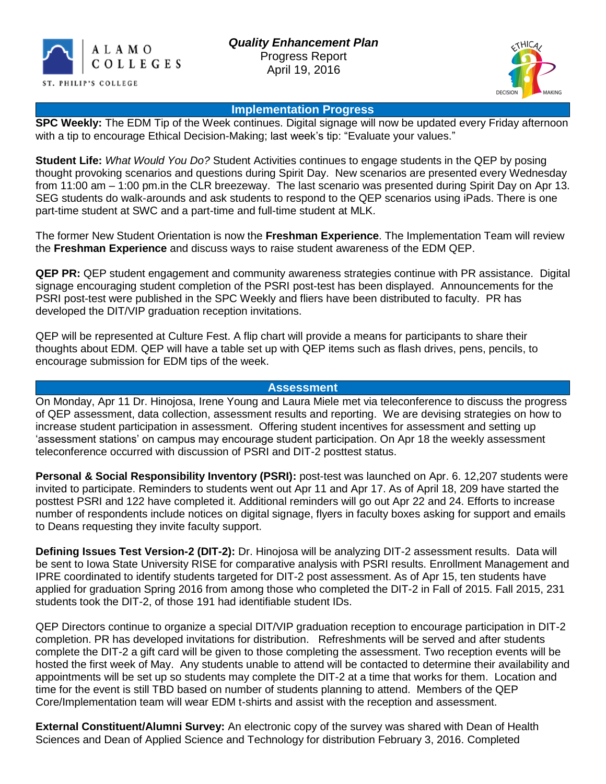



#### **Implementation Progress**

**SPC Weekly:** The EDM Tip of the Week continues. Digital signage will now be updated every Friday afternoon with a tip to encourage Ethical Decision-Making; last week's tip: "Evaluate your values."

**Student Life:** *What Would You Do?* Student Activities continues to engage students in the QEP by posing thought provoking scenarios and questions during Spirit Day. New scenarios are presented every Wednesday from 11:00 am – 1:00 pm.in the CLR breezeway. The last scenario was presented during Spirit Day on Apr 13. SEG students do walk-arounds and ask students to respond to the QEP scenarios using iPads. There is one part-time student at SWC and a part-time and full-time student at MLK.

The former New Student Orientation is now the **Freshman Experience**. The Implementation Team will review the **Freshman Experience** and discuss ways to raise student awareness of the EDM QEP.

**QEP PR:** QEP student engagement and community awareness strategies continue with PR assistance. Digital signage encouraging student completion of the PSRI post-test has been displayed. Announcements for the PSRI post-test were published in the SPC Weekly and fliers have been distributed to faculty. PR has developed the DIT/VIP graduation reception invitations.

QEP will be represented at Culture Fest. A flip chart will provide a means for participants to share their thoughts about EDM. QEP will have a table set up with QEP items such as flash drives, pens, pencils, to encourage submission for EDM tips of the week.

### **Assessment**

On Monday, Apr 11 Dr. Hinojosa, Irene Young and Laura Miele met via teleconference to discuss the progress of QEP assessment, data collection, assessment results and reporting. We are devising strategies on how to increase student participation in assessment. Offering student incentives for assessment and setting up 'assessment stations' on campus may encourage student participation. On Apr 18 the weekly assessment teleconference occurred with discussion of PSRI and DIT-2 posttest status.

**Personal & Social Responsibility Inventory (PSRI):** post-test was launched on Apr. 6. 12,207 students were invited to participate. Reminders to students went out Apr 11 and Apr 17. As of April 18, 209 have started the posttest PSRI and 122 have completed it. Additional reminders will go out Apr 22 and 24. Efforts to increase number of respondents include notices on digital signage, flyers in faculty boxes asking for support and emails to Deans requesting they invite faculty support.

**Defining Issues Test Version-2 (DIT-2):** Dr. Hinojosa will be analyzing DIT-2 assessment results. Data will be sent to Iowa State University RISE for comparative analysis with PSRI results. Enrollment Management and IPRE coordinated to identify students targeted for DIT-2 post assessment. As of Apr 15, ten students have applied for graduation Spring 2016 from among those who completed the DIT-2 in Fall of 2015. Fall 2015, 231 students took the DIT-2, of those 191 had identifiable student IDs.

QEP Directors continue to organize a special DIT/VIP graduation reception to encourage participation in DIT-2 completion. PR has developed invitations for distribution. Refreshments will be served and after students complete the DIT-2 a gift card will be given to those completing the assessment. Two reception events will be hosted the first week of May. Any students unable to attend will be contacted to determine their availability and appointments will be set up so students may complete the DIT-2 at a time that works for them. Location and time for the event is still TBD based on number of students planning to attend. Members of the QEP Core/Implementation team will wear EDM t-shirts and assist with the reception and assessment.

**External Constituent/Alumni Survey:** An electronic copy of the survey was shared with Dean of Health Sciences and Dean of Applied Science and Technology for distribution February 3, 2016. Completed